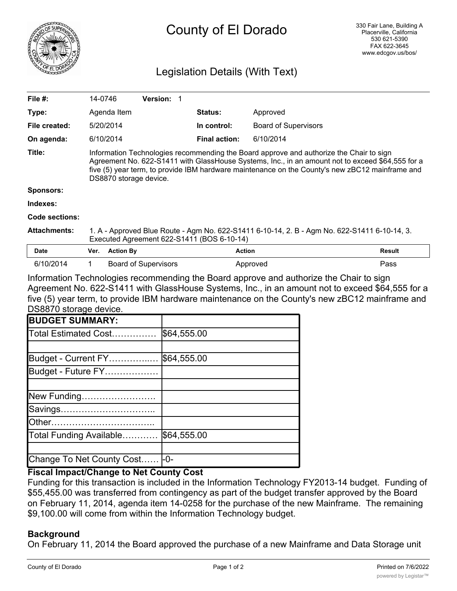

# County of El Dorado

# Legislation Details (With Text)

| File #:             | 14-0746                                                                                                                                                                                                                                                                                                                  |                  | <b>Version: 1</b>           |  |                      |                             |               |
|---------------------|--------------------------------------------------------------------------------------------------------------------------------------------------------------------------------------------------------------------------------------------------------------------------------------------------------------------------|------------------|-----------------------------|--|----------------------|-----------------------------|---------------|
| Type:               |                                                                                                                                                                                                                                                                                                                          | Agenda Item      |                             |  | <b>Status:</b>       | Approved                    |               |
| File created:       |                                                                                                                                                                                                                                                                                                                          | 5/20/2014        |                             |  | In control:          | <b>Board of Supervisors</b> |               |
| On agenda:          |                                                                                                                                                                                                                                                                                                                          | 6/10/2014        |                             |  | <b>Final action:</b> | 6/10/2014                   |               |
| Title:              | Information Technologies recommending the Board approve and authorize the Chair to sign<br>Agreement No. 622-S1411 with GlassHouse Systems, Inc., in an amount not to exceed \$64,555 for a<br>five (5) year term, to provide IBM hardware maintenance on the County's new zBC12 mainframe and<br>DS8870 storage device. |                  |                             |  |                      |                             |               |
| <b>Sponsors:</b>    |                                                                                                                                                                                                                                                                                                                          |                  |                             |  |                      |                             |               |
| Indexes:            |                                                                                                                                                                                                                                                                                                                          |                  |                             |  |                      |                             |               |
| Code sections:      |                                                                                                                                                                                                                                                                                                                          |                  |                             |  |                      |                             |               |
| <b>Attachments:</b> | 1. A - Approved Blue Route - Agm No. 622-S1411 6-10-14, 2. B - Agm No. 622-S1411 6-10-14, 3.<br>Executed Agreement 622-S1411 (BOS 6-10-14)                                                                                                                                                                               |                  |                             |  |                      |                             |               |
| <b>Date</b>         | Ver.                                                                                                                                                                                                                                                                                                                     | <b>Action By</b> |                             |  | <b>Action</b>        |                             | <b>Result</b> |
| 6/10/2014           |                                                                                                                                                                                                                                                                                                                          |                  | <b>Board of Supervisors</b> |  |                      | Approved                    | Pass          |

Information Technologies recommending the Board approve and authorize the Chair to sign Agreement No. 622-S1411 with GlassHouse Systems, Inc., in an amount not to exceed \$64,555 for a five (5) year term, to provide IBM hardware maintenance on the County's new zBC12 mainframe and DS8870 storage device.

| <b>BUDGET SUMMARY:</b>    |             |
|---------------------------|-------------|
| Total Estimated Cost      | \$64,555.00 |
|                           |             |
| Budget - Current FY       | \$64,555.00 |
| Budget - Future FY        |             |
|                           |             |
| New Funding               |             |
| Savings                   |             |
| <b>Other</b>              |             |
| Total Funding Available   | \$64,555.00 |
|                           |             |
| Change To Net County Cost | I-0-        |

## **Fiscal Impact/Change to Net County Cost**

Funding for this transaction is included in the Information Technology FY2013-14 budget. Funding of \$55,455.00 was transferred from contingency as part of the budget transfer approved by the Board on February 11, 2014, agenda item 14-0258 for the purchase of the new Mainframe. The remaining \$9,100.00 will come from within the Information Technology budget.

## **Background**

On February 11, 2014 the Board approved the purchase of a new Mainframe and Data Storage unit